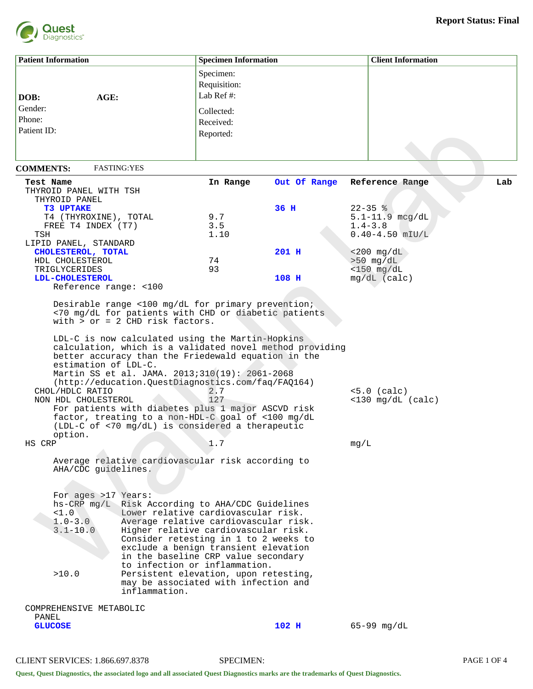

| <b>Patient Information</b>                                                          |                                                                                                                                                                                                                                                                                                                                                                                 | <b>Specimen Information</b>             |                                                          |             | <b>Client Information</b>             |     |
|-------------------------------------------------------------------------------------|---------------------------------------------------------------------------------------------------------------------------------------------------------------------------------------------------------------------------------------------------------------------------------------------------------------------------------------------------------------------------------|-----------------------------------------|----------------------------------------------------------|-------------|---------------------------------------|-----|
|                                                                                     |                                                                                                                                                                                                                                                                                                                                                                                 | Specimen:<br>Requisition:<br>Lab Ref #: |                                                          |             |                                       |     |
| AGE:<br>DOB:                                                                        |                                                                                                                                                                                                                                                                                                                                                                                 |                                         |                                                          |             |                                       |     |
| Gender:                                                                             |                                                                                                                                                                                                                                                                                                                                                                                 | Collected:                              |                                                          |             |                                       |     |
| Phone:                                                                              |                                                                                                                                                                                                                                                                                                                                                                                 | Received:                               |                                                          |             |                                       |     |
| Patient ID:                                                                         |                                                                                                                                                                                                                                                                                                                                                                                 | Reported:                               |                                                          |             |                                       |     |
|                                                                                     |                                                                                                                                                                                                                                                                                                                                                                                 |                                         |                                                          |             |                                       |     |
| <b>FASTING: YES</b><br><b>COMMENTS:</b>                                             |                                                                                                                                                                                                                                                                                                                                                                                 |                                         |                                                          |             |                                       |     |
| Test Name                                                                           |                                                                                                                                                                                                                                                                                                                                                                                 | In Range                                | Out Of Range                                             |             | Reference Range                       | Lab |
| THYROID PANEL WITH TSH                                                              |                                                                                                                                                                                                                                                                                                                                                                                 |                                         |                                                          |             |                                       |     |
| THYROID PANEL                                                                       |                                                                                                                                                                                                                                                                                                                                                                                 |                                         |                                                          |             |                                       |     |
| <b>T3 UPTAKE</b>                                                                    |                                                                                                                                                                                                                                                                                                                                                                                 |                                         | 36 H                                                     | $22 - 35$ % |                                       |     |
| T4 (THYROXINE), TOTAL                                                               |                                                                                                                                                                                                                                                                                                                                                                                 | 9.7                                     |                                                          |             | $5.1 - 11.9$ mcg/dL                   |     |
| FREE T4 INDEX (T7)                                                                  |                                                                                                                                                                                                                                                                                                                                                                                 | 3.5                                     |                                                          | $1.4 - 3.8$ |                                       |     |
| TSH                                                                                 |                                                                                                                                                                                                                                                                                                                                                                                 | 1.10                                    |                                                          |             | $0.40 - 4.50$ mIU/L                   |     |
| LIPID PANEL, STANDARD<br>CHOLESTEROL, TOTAL                                         |                                                                                                                                                                                                                                                                                                                                                                                 |                                         | 201 H                                                    |             | $< 200$ mg/dL                         |     |
| HDL CHOLESTEROL                                                                     |                                                                                                                                                                                                                                                                                                                                                                                 | 74                                      |                                                          |             | $>50$ mg/dL                           |     |
| TRIGLYCERIDES                                                                       |                                                                                                                                                                                                                                                                                                                                                                                 | 93                                      |                                                          |             | $<$ 150 mg/dL                         |     |
| LDL-CHOLESTEROL                                                                     |                                                                                                                                                                                                                                                                                                                                                                                 |                                         | 108 H                                                    |             | $mg/dL$ (calc)                        |     |
| Reference range: <100                                                               |                                                                                                                                                                                                                                                                                                                                                                                 |                                         |                                                          |             |                                       |     |
| estimation of LDL-C.<br>CHOL/HDLC RATIO<br>NON HDL CHOLESTEROL<br>option.<br>HS CRP | LDL-C is now calculated using the Martin-Hopkins<br>better accuracy than the Friedewald equation in the<br>Martin SS et al. JAMA. 2013;310(19): 2061-2068<br>(http://education.QuestDiagnostics.com/faq/FAQ164)<br>For patients with diabetes plus 1 major ASCVD risk<br>factor, treating to a non-HDL-C goal of <100 mg/dL<br>(LDL-C of <70 mg/dL) is considered a therapeutic | 2.7<br>127<br>1.7                       | calculation, which is a validated novel method providing | mg/L        | $<5.0$ (calc)<br>$<$ 130 mg/dL (calc) |     |
| AHA/CDC guidelines.                                                                 | Average relative cardiovascular risk according to                                                                                                                                                                                                                                                                                                                               |                                         |                                                          |             |                                       |     |
| For ages >17 Years:<br><1.0<br>$1.0 - 3.0$<br>$3.1 - 10.0$<br>>10.0                 | hs-CRP mg/L Risk According to AHA/CDC Guidelines<br>Lower relative cardiovascular risk.<br>Average relative cardiovascular risk.<br>Higher relative cardiovascular risk.<br>Consider retesting in 1 to 2 weeks to<br>exclude a benign transient elevation<br>in the baseline CRP value secondary<br>to infection or inflammation.<br>Persistent elevation, upon retesting,      |                                         |                                                          |             |                                       |     |
|                                                                                     | may be associated with infection and<br>inflammation.                                                                                                                                                                                                                                                                                                                           |                                         |                                                          |             |                                       |     |
| COMPREHENSIVE METABOLIC                                                             |                                                                                                                                                                                                                                                                                                                                                                                 |                                         |                                                          |             |                                       |     |
| PANEL<br><b>GLUCOSE</b>                                                             |                                                                                                                                                                                                                                                                                                                                                                                 |                                         | $102$ H                                                  |             | $65 - 99$ mg/dL                       |     |

CLIENT SERVICES: 1.866.697.8378 SPECIMEN: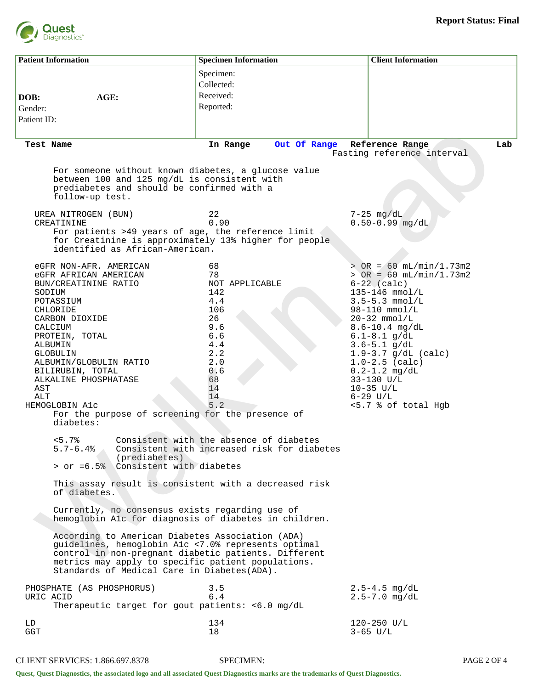

| <b>Patient Information</b>                                                                                                                                                                                                                                                                                                                                       | <b>Specimen Information</b>                                                                                                                                         |                                             | <b>Client Information</b>                                                                                                                                                                                                                                                                                                                                            |     |  |
|------------------------------------------------------------------------------------------------------------------------------------------------------------------------------------------------------------------------------------------------------------------------------------------------------------------------------------------------------------------|---------------------------------------------------------------------------------------------------------------------------------------------------------------------|---------------------------------------------|----------------------------------------------------------------------------------------------------------------------------------------------------------------------------------------------------------------------------------------------------------------------------------------------------------------------------------------------------------------------|-----|--|
| AGE:<br>DOB:<br>Gender:<br>Patient ID:                                                                                                                                                                                                                                                                                                                           | Specimen:<br>Collected:<br>Received:<br>Reported:                                                                                                                   |                                             |                                                                                                                                                                                                                                                                                                                                                                      |     |  |
| Test Name                                                                                                                                                                                                                                                                                                                                                        | In Range                                                                                                                                                            | Out Of Range                                | Reference Range<br>Fasting reference interval                                                                                                                                                                                                                                                                                                                        | Lab |  |
| For someone without known diabetes, a glucose value<br>between 100 and 125 mg/dL is consistent with<br>prediabetes and should be confirmed with a<br>follow-up test.                                                                                                                                                                                             |                                                                                                                                                                     |                                             |                                                                                                                                                                                                                                                                                                                                                                      |     |  |
| UREA NITROGEN (BUN)<br>CREATININE<br>For patients >49 years of age, the reference limit<br>for Creatinine is approximately 13% higher for people<br>identified as African-American.                                                                                                                                                                              | 22<br>0.90                                                                                                                                                          |                                             | $7-25$ mg/dL<br>$0.50 - 0.99$ mg/dL                                                                                                                                                                                                                                                                                                                                  |     |  |
| eGFR NON-AFR. AMERICAN<br>eGFR AFRICAN AMERICAN<br>BUN/CREATININE RATIO<br>SODIUM<br>POTASSIUM<br>CHLORIDE<br>CARBON DIOXIDE<br>CALCIUM<br>PROTEIN, TOTAL<br>ALBUMIN<br>GLOBULIN<br>ALBUMIN/GLOBULIN RATIO<br>BILIRUBIN, TOTAL<br>ALKALINE PHOSPHATASE<br>AST<br>ALT<br>HEMOGLOBIN A1c<br>For the purpose of screening for the presence of<br>diabetes:<br><5.7% | 68<br>78<br>NOT APPLICABLE<br>142<br>4.4<br>106<br>26<br>9.6<br>6.6<br>4.4<br>2.2<br>2.0<br>0.6<br>68<br>14<br>14<br>5.2<br>Consistent with the absence of diabetes |                                             | $>$ OR = 60 mL/min/1.73m2<br>$>$ OR = 60 mL/min/1.73m2<br>$6-22$ (calc)<br>$135 - 146$ mmol/L<br>$3.5 - 5.3$ mmol/L<br>$98 - 110$ mmol/L<br>$20-32$ mmol/L<br>$8.6 - 10.4$ mg/dL<br>$6.1 - 8.1$ g/dL<br>$3.6 - 5.1$ g/dL<br>$1.9 - 3.7$ g/dL (calc)<br>$1.0 - 2.5$ (calc)<br>$0.2 - 1.2$ mg/dL<br>33-130 U/L<br>$10-35$ U/L<br>$6 - 29$ $U/L$<br><5.7 % of total Hgb |     |  |
| $5.7 - 6.4%$<br>(prediabetes)<br>> or =6.5% Consistent with diabetes                                                                                                                                                                                                                                                                                             |                                                                                                                                                                     | Consistent with increased risk for diabetes |                                                                                                                                                                                                                                                                                                                                                                      |     |  |
| This assay result is consistent with a decreased risk<br>of diabetes.                                                                                                                                                                                                                                                                                            |                                                                                                                                                                     |                                             |                                                                                                                                                                                                                                                                                                                                                                      |     |  |
| Currently, no consensus exists regarding use of<br>hemoglobin Alc for diagnosis of diabetes in children.                                                                                                                                                                                                                                                         |                                                                                                                                                                     |                                             |                                                                                                                                                                                                                                                                                                                                                                      |     |  |
| According to American Diabetes Association (ADA)<br>guidelines, hemoglobin A1c <7.0% represents optimal<br>control in non-pregnant diabetic patients. Different<br>metrics may apply to specific patient populations.<br>Standards of Medical Care in Diabetes(ADA).                                                                                             |                                                                                                                                                                     |                                             |                                                                                                                                                                                                                                                                                                                                                                      |     |  |
| PHOSPHATE (AS PHOSPHORUS)<br>URIC ACID<br>Therapeutic target for gout patients: <6.0 mg/dL                                                                                                                                                                                                                                                                       | 3.5<br>6.4                                                                                                                                                          |                                             | $2.5 - 4.5$ mg/dL<br>$2.5 - 7.0$ mg/dL                                                                                                                                                                                                                                                                                                                               |     |  |
| LD<br><b>GGT</b>                                                                                                                                                                                                                                                                                                                                                 | 134<br>18                                                                                                                                                           |                                             | $120 - 250$ U/L<br>$3-65$ U/L                                                                                                                                                                                                                                                                                                                                        |     |  |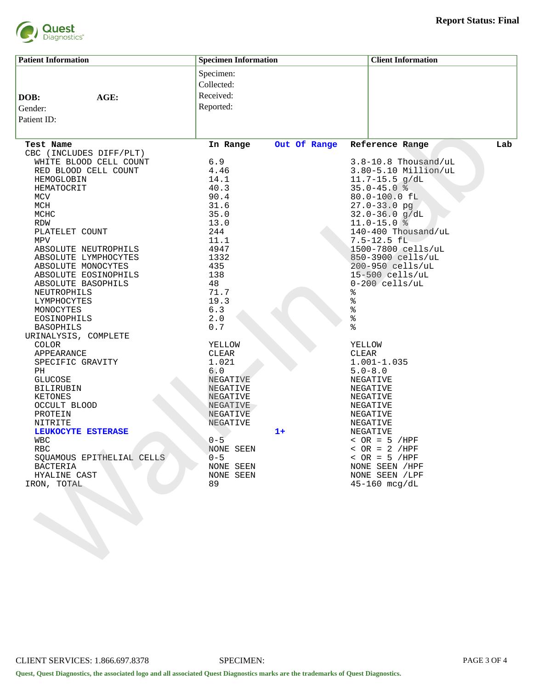

| <b>Patient Information</b> | <b>Specimen Information</b> |              | <b>Client Information</b> |     |
|----------------------------|-----------------------------|--------------|---------------------------|-----|
|                            | Specimen:                   |              |                           |     |
|                            | Collected:                  |              |                           |     |
|                            |                             |              |                           |     |
| AGE:<br>DOB:               | Received:                   |              |                           |     |
| Gender:                    | Reported:                   |              |                           |     |
| Patient ID:                |                             |              |                           |     |
|                            |                             |              |                           |     |
| Test Name                  | In Range                    | Out Of Range | Reference Range           | Lab |
| CBC (INCLUDES DIFF/PLT)    |                             |              |                           |     |
| WHITE BLOOD CELL COUNT     | 6.9                         |              | $3.8 - 10.8$ Thousand/uL  |     |
| RED BLOOD CELL COUNT       | 4.46                        |              | 3.80-5.10 Million/uL      |     |
| HEMOGLOBIN                 | 14.1                        |              | $11.7 - 15.5$ g/dL        |     |
| HEMATOCRIT                 | 40.3                        |              | $35.0 - 45.0$ %           |     |
| MCV                        | 90.4                        |              | 80.0-100.0 fL             |     |
| MCH                        | 31.6                        |              | $27.0 - 33.0$ pg          |     |
| MCHC                       | 35.0                        |              | $32.0 - 36.0$ g/dL        |     |
| RDW                        | 13.0                        |              | $11.0 - 15.0$ %           |     |
| PLATELET COUNT             | 244                         |              | 140-400 Thousand/uL       |     |
| MPV                        | 11.1                        |              | $7.5 - 12.5 fL$           |     |
| ABSOLUTE NEUTROPHILS       | 4947                        |              | 1500-7800 cells/uL        |     |
| ABSOLUTE LYMPHOCYTES       | 1332                        |              | 850-3900 cells/uL         |     |
| ABSOLUTE MONOCYTES         | 435                         |              | 200-950 cells/uL          |     |
| ABSOLUTE EOSINOPHILS       | 138                         |              | $15 - 500$ cells/uL       |     |
| ABSOLUTE BASOPHILS         | 48                          |              | $0-200$ cells/uL          |     |
| NEUTROPHILS                | 71.7                        |              | %                         |     |
| LYMPHOCYTES                | 19.3                        |              | $\delta$                  |     |
| MONOCYTES                  | 6.3                         |              | $\delta$                  |     |
| EOSINOPHILS                | 2.0                         |              | $\frac{9}{6}$             |     |
| <b>BASOPHILS</b>           | 0.7                         |              | နွ                        |     |
| URINALYSIS, COMPLETE       |                             |              |                           |     |
| <b>COLOR</b>               | YELLOW                      |              | <b>YELLOW</b>             |     |
| APPEARANCE                 | CLEAR                       |              | CLEAR                     |     |
| SPECIFIC GRAVITY           | 1.021                       |              | $1.001 - 1.035$           |     |
| PH                         | 6.0                         |              | $5.0 - 8.0$               |     |
| GLUCOSE                    | NEGATIVE                    |              | NEGATIVE                  |     |
| <b>BILIRUBIN</b>           | NEGATIVE                    |              | NEGATIVE                  |     |
| KETONES                    | NEGATIVE                    |              | NEGATIVE                  |     |
| OCCULT BLOOD               | NEGATIVE                    |              | NEGATIVE                  |     |
| PROTEIN                    | NEGATIVE                    |              | NEGATIVE                  |     |
| NITRITE                    | NEGATIVE                    |              | NEGATIVE                  |     |
| LEUKOCYTE ESTERASE         |                             | $1+$         | NEGATIVE                  |     |
| WBC                        | $0 - 5$                     |              | $~<$ OR = 5 /HPF          |     |
| RBC                        | NONE SEEN                   |              | $\angle$ OR = 2 /HPF      |     |
| SQUAMOUS EPITHELIAL CELLS  | $0 - 5$                     |              | $~<$ OR = 5 /HPF          |     |
| BACTERIA                   | NONE SEEN                   |              | NONE SEEN / HPF           |     |
| HYALINE CAST               | NONE SEEN                   |              | NONE SEEN / LPF           |     |
| IRON, TOTAL                | 89                          |              | $45 - 160$ mcg/dL         |     |
|                            |                             |              |                           |     |
|                            |                             |              |                           |     |
|                            |                             |              |                           |     |
|                            |                             |              |                           |     |
|                            |                             |              |                           |     |
|                            |                             |              |                           |     |
|                            |                             |              |                           |     |
|                            |                             |              |                           |     |
|                            |                             |              |                           |     |
|                            |                             |              |                           |     |